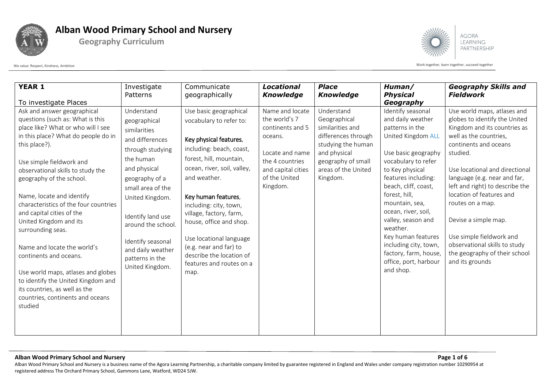

**Geography Curriculum**



Work together, learn together, succeed together exerced together acceed together and the Work together, learn together, succeed together

| <b>YEAR 1</b>                                                                                                                                                                                                                                                                                                                                                       | Investigate<br>Patterns                                                                                                                                         | Communicate<br>geographically                                                                                                                                                                                            | <b>Locational</b><br><b>Knowledge</b>                                                                                                        | <b>Place</b><br><b>Knowledge</b>                                                                                                                                     | Human/<br><b>Physical</b>                                                                                                                                                                                                      | <b>Geography Skills and</b><br><b>Fieldwork</b>                                                                                                                                                                               |
|---------------------------------------------------------------------------------------------------------------------------------------------------------------------------------------------------------------------------------------------------------------------------------------------------------------------------------------------------------------------|-----------------------------------------------------------------------------------------------------------------------------------------------------------------|--------------------------------------------------------------------------------------------------------------------------------------------------------------------------------------------------------------------------|----------------------------------------------------------------------------------------------------------------------------------------------|----------------------------------------------------------------------------------------------------------------------------------------------------------------------|--------------------------------------------------------------------------------------------------------------------------------------------------------------------------------------------------------------------------------|-------------------------------------------------------------------------------------------------------------------------------------------------------------------------------------------------------------------------------|
| To investigate Places                                                                                                                                                                                                                                                                                                                                               |                                                                                                                                                                 |                                                                                                                                                                                                                          |                                                                                                                                              |                                                                                                                                                                      | Geography                                                                                                                                                                                                                      |                                                                                                                                                                                                                               |
| Ask and answer geographical<br>questions (such as: What is this<br>place like? What or who will I see<br>in this place? What do people do in<br>this place?).<br>Use simple fieldwork and<br>observational skills to study the<br>geography of the school.                                                                                                          | Understand<br>geographical<br>similarities<br>and differences<br>through studying<br>the human<br>and physical<br>geography of a                                | Use basic geographical<br>vocabulary to refer to:<br>Key physical features,<br>including: beach, coast,<br>forest, hill, mountain,<br>ocean, river, soil, valley,<br>and weather.                                        | Name and locate<br>the world's 7<br>continents and 5<br>oceans.<br>Locate and name<br>the 4 countries<br>and capital cities<br>of the United | Understand<br>Geographical<br>similarities and<br>differences through<br>studying the human<br>and physical<br>geography of small<br>areas of the United<br>Kingdom. | Identify seasonal<br>and daily weather<br>patterns in the<br>United Kingdom ALL<br>Use basic geography<br>vocabulary to refer<br>to Key physical<br>features including:                                                        | Use world maps, atlases and<br>globes to identify the United<br>Kingdom and its countries as<br>well as the countries,<br>continents and oceans<br>studied.<br>Use locational and directional<br>language (e.g. near and far, |
| Name, locate and identify<br>characteristics of the four countries<br>and capital cities of the<br>United Kingdom and its<br>surrounding seas.<br>Name and locate the world's<br>continents and oceans.<br>Use world maps, atlases and globes<br>to identify the United Kingdom and<br>its countries, as well as the<br>countries, continents and oceans<br>studied | small area of the<br>United Kingdom.<br>Identify land use<br>around the school.<br>Identify seasonal<br>and daily weather<br>patterns in the<br>United Kingdom. | Key human features,<br>including: city, town,<br>village, factory, farm,<br>house, office and shop.<br>Use locational language<br>(e.g. near and far) to<br>describe the location of<br>features and routes on a<br>map. | Kingdom.                                                                                                                                     |                                                                                                                                                                      | beach, cliff, coast,<br>forest, hill,<br>mountain, sea,<br>ocean, river, soil,<br>valley, season and<br>weather.<br>Key human features<br>including city, town,<br>factory, farm, house,<br>office, port, harbour<br>and shop. | left and right) to describe the<br>location of features and<br>routes on a map.<br>Devise a simple map.<br>Use simple fieldwork and<br>observational skills to study<br>the geography of their school<br>and its grounds      |

### **Alban Wood Primary School and Nursery Page 1 of 6**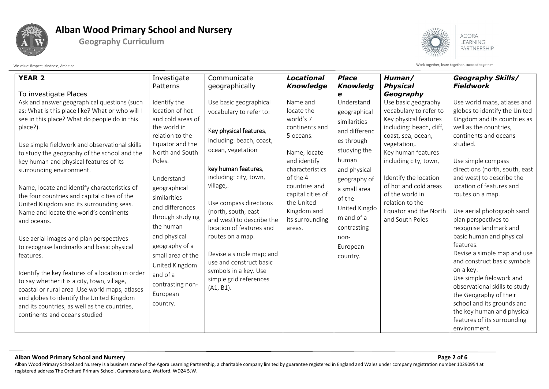



**AGORA** LEARNING PARTNERSHIP

Work together, learn together, succeed together exerced together acceed together and the Work together, learn together, succeed together

| <b>Physical</b><br><b>Fieldwork</b><br>Patterns<br>geographically<br><b>Knowledge</b><br><b>Knowledg</b><br>To investigate Places<br>Geography<br>е<br>Ask and answer geographical questions (such<br>Identify the<br>Use basic geographical<br>Name and<br>Understand<br>Use basic geography<br>Use world maps, atlases and<br>as: What is this place like? What or who will I<br>location of hot<br>locate the<br>vocabulary to refer to<br>globes to identify the United<br>vocabulary to refer to:<br>geographical<br>world's 7<br>see in this place? What do people do in this<br>and cold areas of<br>Key physical features<br>Kingdom and its countries as<br>similarities<br>the world in<br>including: beach, cliff,<br>well as the countries,<br>place?).<br>continents and<br>Key physical features,<br>and differenc<br>relation to the<br>continents and oceans<br>5 oceans.<br>coast, sea, ocean,<br>including: beach, coast,<br>es through | <b>YEAR 2</b><br>Investigate                  |
|-----------------------------------------------------------------------------------------------------------------------------------------------------------------------------------------------------------------------------------------------------------------------------------------------------------------------------------------------------------------------------------------------------------------------------------------------------------------------------------------------------------------------------------------------------------------------------------------------------------------------------------------------------------------------------------------------------------------------------------------------------------------------------------------------------------------------------------------------------------------------------------------------------------------------------------------------------------|-----------------------------------------------|
|                                                                                                                                                                                                                                                                                                                                                                                                                                                                                                                                                                                                                                                                                                                                                                                                                                                                                                                                                           |                                               |
|                                                                                                                                                                                                                                                                                                                                                                                                                                                                                                                                                                                                                                                                                                                                                                                                                                                                                                                                                           |                                               |
|                                                                                                                                                                                                                                                                                                                                                                                                                                                                                                                                                                                                                                                                                                                                                                                                                                                                                                                                                           |                                               |
|                                                                                                                                                                                                                                                                                                                                                                                                                                                                                                                                                                                                                                                                                                                                                                                                                                                                                                                                                           |                                               |
|                                                                                                                                                                                                                                                                                                                                                                                                                                                                                                                                                                                                                                                                                                                                                                                                                                                                                                                                                           |                                               |
|                                                                                                                                                                                                                                                                                                                                                                                                                                                                                                                                                                                                                                                                                                                                                                                                                                                                                                                                                           |                                               |
|                                                                                                                                                                                                                                                                                                                                                                                                                                                                                                                                                                                                                                                                                                                                                                                                                                                                                                                                                           |                                               |
| studied.<br>Equator and the<br>vegetation,.                                                                                                                                                                                                                                                                                                                                                                                                                                                                                                                                                                                                                                                                                                                                                                                                                                                                                                               | Use simple fieldwork and observational skills |
| ocean, vegetation<br>studying the<br>North and South<br>Key human features<br>Name, locate<br>to study the geography of the school and the                                                                                                                                                                                                                                                                                                                                                                                                                                                                                                                                                                                                                                                                                                                                                                                                                |                                               |
| human<br>and identify<br>including city, town,<br>Poles.<br>Use simple compass<br>key human and physical features of its                                                                                                                                                                                                                                                                                                                                                                                                                                                                                                                                                                                                                                                                                                                                                                                                                                  |                                               |
| key human features,<br>characteristics<br>directions (north, south, east<br>and physical<br>surrounding environment.                                                                                                                                                                                                                                                                                                                                                                                                                                                                                                                                                                                                                                                                                                                                                                                                                                      |                                               |
| including: city, town,<br>of the 4<br>Identify the location<br>and west) to describe the<br>Understand<br>geography of                                                                                                                                                                                                                                                                                                                                                                                                                                                                                                                                                                                                                                                                                                                                                                                                                                    |                                               |
| village,.<br>of hot and cold areas<br>location of features and<br>countries and<br>Name, locate and identify characteristics of<br>geographical<br>a small area                                                                                                                                                                                                                                                                                                                                                                                                                                                                                                                                                                                                                                                                                                                                                                                           |                                               |
| of the world in<br>capital cities of<br>routes on a map.<br>the four countries and capital cities of the<br>similarities<br>of the                                                                                                                                                                                                                                                                                                                                                                                                                                                                                                                                                                                                                                                                                                                                                                                                                        |                                               |
| the United<br>relation to the<br>Use compass directions<br>United Kingdom and its surrounding seas.<br>and differences<br>United Kingdo                                                                                                                                                                                                                                                                                                                                                                                                                                                                                                                                                                                                                                                                                                                                                                                                                   |                                               |
| Equator and the North<br>(north, south, east<br>Kingdom and<br>Use aerial photograph sand<br>Name and locate the world's continents<br>through studying<br>m and of a                                                                                                                                                                                                                                                                                                                                                                                                                                                                                                                                                                                                                                                                                                                                                                                     |                                               |
| and South Poles<br>and west) to describe the<br>plan perspectives to<br>its surrounding<br>and oceans.<br>the human                                                                                                                                                                                                                                                                                                                                                                                                                                                                                                                                                                                                                                                                                                                                                                                                                                       |                                               |
| contrasting<br>recognise landmark and<br>location of features and<br>areas.                                                                                                                                                                                                                                                                                                                                                                                                                                                                                                                                                                                                                                                                                                                                                                                                                                                                               |                                               |
| basic human and physical<br>and physical<br>routes on a map.<br>non-<br>Use aerial images and plan perspectives                                                                                                                                                                                                                                                                                                                                                                                                                                                                                                                                                                                                                                                                                                                                                                                                                                           |                                               |
| features.<br>geography of a<br>to recognise landmarks and basic physical<br>European                                                                                                                                                                                                                                                                                                                                                                                                                                                                                                                                                                                                                                                                                                                                                                                                                                                                      |                                               |
| Devise a simple map and use<br>Devise a simple map; and<br>features.<br>small area of the<br>country.                                                                                                                                                                                                                                                                                                                                                                                                                                                                                                                                                                                                                                                                                                                                                                                                                                                     |                                               |
| and construct basic symbols<br>use and construct basic<br>United Kingdom                                                                                                                                                                                                                                                                                                                                                                                                                                                                                                                                                                                                                                                                                                                                                                                                                                                                                  |                                               |
| on a key.<br>symbols in a key. Use<br>Identify the key features of a location in order<br>and of a                                                                                                                                                                                                                                                                                                                                                                                                                                                                                                                                                                                                                                                                                                                                                                                                                                                        |                                               |
| Use simple fieldwork and<br>simple grid references<br>to say whether it is a city, town, village,<br>contrasting non-                                                                                                                                                                                                                                                                                                                                                                                                                                                                                                                                                                                                                                                                                                                                                                                                                                     |                                               |
| observational skills to study<br>$(A1, B1)$ .<br>coastal or rural area . Use world maps, atlases<br>European                                                                                                                                                                                                                                                                                                                                                                                                                                                                                                                                                                                                                                                                                                                                                                                                                                              |                                               |
| the Geography of their<br>and globes to identify the United Kingdom<br>school and its grounds and                                                                                                                                                                                                                                                                                                                                                                                                                                                                                                                                                                                                                                                                                                                                                                                                                                                         |                                               |
| country.<br>and its countries, as well as the countries,                                                                                                                                                                                                                                                                                                                                                                                                                                                                                                                                                                                                                                                                                                                                                                                                                                                                                                  |                                               |
| the key human and physical<br>continents and oceans studied<br>features of its surrounding                                                                                                                                                                                                                                                                                                                                                                                                                                                                                                                                                                                                                                                                                                                                                                                                                                                                |                                               |
| environment.                                                                                                                                                                                                                                                                                                                                                                                                                                                                                                                                                                                                                                                                                                                                                                                                                                                                                                                                              |                                               |

#### **Alban Wood Primary School and Nursery Page 2 of 6**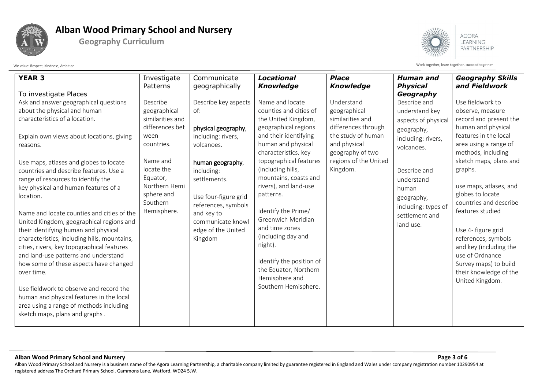



**AGORA** LEARNING PARTNERSHIP

Work together, learn together, succeed together exerced together acceed together and the Work together, learn together, succeed together

| <b>YEAR 3</b>                                                                                                                                                                                                                                                                                                                                                                                                                                                                                                                                                                                                                                                                                                                                                                                                                              | Investigate<br>Patterns                                                                                                                                                               | Communicate<br>geographically                                                                                                                                                                                                                               | <b>Locational</b><br><b>Knowledge</b>                                                                                                                                                                                                                                                                                                                                                                                                                                        | <b>Place</b><br><b>Knowledge</b>                                                                                                                                     | <b>Human</b> and<br><b>Physical</b>                                                                                                                                                                                             | <b>Geography Skills</b><br>and Fieldwork                                                                                                                                                                                                                                                                                                                                                                                                                      |
|--------------------------------------------------------------------------------------------------------------------------------------------------------------------------------------------------------------------------------------------------------------------------------------------------------------------------------------------------------------------------------------------------------------------------------------------------------------------------------------------------------------------------------------------------------------------------------------------------------------------------------------------------------------------------------------------------------------------------------------------------------------------------------------------------------------------------------------------|---------------------------------------------------------------------------------------------------------------------------------------------------------------------------------------|-------------------------------------------------------------------------------------------------------------------------------------------------------------------------------------------------------------------------------------------------------------|------------------------------------------------------------------------------------------------------------------------------------------------------------------------------------------------------------------------------------------------------------------------------------------------------------------------------------------------------------------------------------------------------------------------------------------------------------------------------|----------------------------------------------------------------------------------------------------------------------------------------------------------------------|---------------------------------------------------------------------------------------------------------------------------------------------------------------------------------------------------------------------------------|---------------------------------------------------------------------------------------------------------------------------------------------------------------------------------------------------------------------------------------------------------------------------------------------------------------------------------------------------------------------------------------------------------------------------------------------------------------|
|                                                                                                                                                                                                                                                                                                                                                                                                                                                                                                                                                                                                                                                                                                                                                                                                                                            |                                                                                                                                                                                       |                                                                                                                                                                                                                                                             |                                                                                                                                                                                                                                                                                                                                                                                                                                                                              |                                                                                                                                                                      |                                                                                                                                                                                                                                 |                                                                                                                                                                                                                                                                                                                                                                                                                                                               |
| To investigate Places<br>Ask and answer geographical questions<br>about the physical and human<br>characteristics of a location.<br>Explain own views about locations, giving<br>reasons.<br>Use maps, atlases and globes to locate<br>countries and describe features. Use a<br>range of resources to identify the<br>key physical and human features of a<br>location.<br>Name and locate counties and cities of the<br>United Kingdom, geographical regions and<br>their identifying human and physical<br>characteristics, including hills, mountains,<br>cities, rivers, key topographical features<br>and land-use patterns and understand<br>how some of these aspects have changed<br>over time.<br>Use fieldwork to observe and record the<br>human and physical features in the local<br>area using a range of methods including | Describe<br>geographical<br>similarities and<br>differences bet<br>ween<br>countries.<br>Name and<br>locate the<br>Equator,<br>Northern Hemi<br>sphere and<br>Southern<br>Hemisphere. | Describe key aspects<br>of:<br>physical geography,<br>including: rivers,<br>volcanoes.<br>human geography,<br>including:<br>settlements.<br>Use four-figure grid<br>references, symbols<br>and key to<br>communicate knowl<br>edge of the United<br>Kingdom | Name and locate<br>counties and cities of<br>the United Kingdom,<br>geographical regions<br>and their identifying<br>human and physical<br>characteristics, key<br>topographical features<br>(including hills,<br>mountains, coasts and<br>rivers), and land-use<br>patterns.<br>Identify the Prime/<br>Greenwich Meridian<br>and time zones<br>(including day and<br>night).<br>Identify the position of<br>the Equator, Northern<br>Hemisphere and<br>Southern Hemisphere. | Understand<br>geographical<br>similarities and<br>differences through<br>the study of human<br>and physical<br>geography of two<br>regions of the United<br>Kingdom. | Geography<br>Describe and<br>understand key<br>aspects of physical<br>geography,<br>including: rivers,<br>volcanoes.<br>Describe and<br>understand<br>human<br>geography,<br>including: types of<br>settlement and<br>land use. | Use fieldwork to<br>observe, measure<br>record and present the<br>human and physical<br>features in the local<br>area using a range of<br>methods, including<br>sketch maps, plans and<br>graphs.<br>use maps, atlases, and<br>globes to locate<br>countries and describe<br>features studied<br>Use 4- figure grid<br>references, symbols<br>and key (including the<br>use of Ordnance<br>Survey maps) to build<br>their knowledge of the<br>United Kingdom. |
| sketch maps, plans and graphs.                                                                                                                                                                                                                                                                                                                                                                                                                                                                                                                                                                                                                                                                                                                                                                                                             |                                                                                                                                                                                       |                                                                                                                                                                                                                                                             |                                                                                                                                                                                                                                                                                                                                                                                                                                                                              |                                                                                                                                                                      |                                                                                                                                                                                                                                 |                                                                                                                                                                                                                                                                                                                                                                                                                                                               |

### **Alban Wood Primary School and Nursery Page 3 of 6**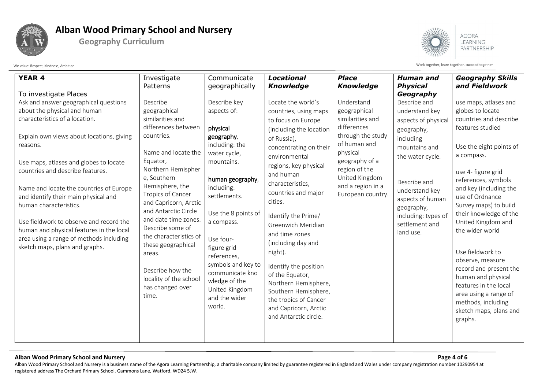



**AGORA** LEARNING PARTNERSHIP

We value: Respect, Kindness, Ambition with the succeed together acceed together acceed together acceed together

| <b>YEAR 4</b>                                                                                                                                                                                                                                                                                                                                                                                                                                          | Investigate                                                                                                                                                                                                                                                                                                                                                                                             | Communicate                                                                                                                                                                                                                                                                                                     | <b>Locational</b>                                                                                                                                                                                                                                                                                                                                                                                                                                                          | <b>Place</b>                                                                                                                                                                    | <b>Human</b> and                                                                                                                                                                                              | <b>Geography Skills</b>                                                                                                                                                                                                                                                                                                                                                                                                                                                        |
|--------------------------------------------------------------------------------------------------------------------------------------------------------------------------------------------------------------------------------------------------------------------------------------------------------------------------------------------------------------------------------------------------------------------------------------------------------|---------------------------------------------------------------------------------------------------------------------------------------------------------------------------------------------------------------------------------------------------------------------------------------------------------------------------------------------------------------------------------------------------------|-----------------------------------------------------------------------------------------------------------------------------------------------------------------------------------------------------------------------------------------------------------------------------------------------------------------|----------------------------------------------------------------------------------------------------------------------------------------------------------------------------------------------------------------------------------------------------------------------------------------------------------------------------------------------------------------------------------------------------------------------------------------------------------------------------|---------------------------------------------------------------------------------------------------------------------------------------------------------------------------------|---------------------------------------------------------------------------------------------------------------------------------------------------------------------------------------------------------------|--------------------------------------------------------------------------------------------------------------------------------------------------------------------------------------------------------------------------------------------------------------------------------------------------------------------------------------------------------------------------------------------------------------------------------------------------------------------------------|
|                                                                                                                                                                                                                                                                                                                                                                                                                                                        | Patterns                                                                                                                                                                                                                                                                                                                                                                                                | geographically                                                                                                                                                                                                                                                                                                  | <b>Knowledge</b>                                                                                                                                                                                                                                                                                                                                                                                                                                                           | <b>Knowledge</b>                                                                                                                                                                | <b>Physical</b>                                                                                                                                                                                               | and Fieldwork                                                                                                                                                                                                                                                                                                                                                                                                                                                                  |
| To investigate Places                                                                                                                                                                                                                                                                                                                                                                                                                                  |                                                                                                                                                                                                                                                                                                                                                                                                         |                                                                                                                                                                                                                                                                                                                 |                                                                                                                                                                                                                                                                                                                                                                                                                                                                            |                                                                                                                                                                                 | Geography                                                                                                                                                                                                     |                                                                                                                                                                                                                                                                                                                                                                                                                                                                                |
| Ask and answer geographical questions<br>about the physical and human                                                                                                                                                                                                                                                                                                                                                                                  | Describe<br>geographical                                                                                                                                                                                                                                                                                                                                                                                | Describe key<br>aspects of:                                                                                                                                                                                                                                                                                     | Locate the world's<br>countries, using maps                                                                                                                                                                                                                                                                                                                                                                                                                                | Understand<br>geographical                                                                                                                                                      | Describe and<br>understand key                                                                                                                                                                                | use maps, atlases and<br>globes to locate                                                                                                                                                                                                                                                                                                                                                                                                                                      |
| characteristics of a location.<br>Explain own views about locations, giving<br>reasons.<br>Use maps, atlases and globes to locate<br>countries and describe features.<br>Name and locate the countries of Europe<br>and identify their main physical and<br>human characteristics.<br>Use fieldwork to observe and record the<br>human and physical features in the local<br>area using a range of methods including<br>sketch maps, plans and graphs. | similarities and<br>differences between<br>countries.<br>Name and locate the<br>Equator,<br>Northern Hemispher<br>e, Southern<br>Hemisphere, the<br>Tropics of Cancer<br>and Capricorn, Arctic<br>and Antarctic Circle<br>and date time zones.<br>Describe some of<br>the characteristics of<br>these geographical<br>areas.<br>Describe how the<br>locality of the school<br>has changed over<br>time. | physical<br>geography,<br>including: the<br>water cycle,<br>mountains.<br>human geography,<br>including:<br>settlements.<br>Use the 8 points of<br>a compass.<br>Use four-<br>figure grid<br>references,<br>symbols and key to<br>communicate kno<br>wledge of the<br>United Kingdom<br>and the wider<br>world. | to focus on Europe<br>(including the location<br>of Russia),<br>concentrating on their<br>environmental<br>regions, key physical<br>and human<br>characteristics,<br>countries and major<br>cities.<br>Identify the Prime/<br>Greenwich Meridian<br>and time zones<br>(including day and<br>night).<br>Identify the position<br>of the Equator,<br>Northern Hemisphere,<br>Southern Hemisphere,<br>the tropics of Cancer<br>and Capricorn, Arctic<br>and Antarctic circle. | similarities and<br>differences<br>through the study<br>of human and<br>physical<br>geography of a<br>region of the<br>United Kingdom<br>and a region in a<br>European country. | aspects of physical<br>geography,<br>including<br>mountains and<br>the water cycle.<br>Describe and<br>understand key<br>aspects of human<br>geography,<br>including: types of<br>settlement and<br>land use. | countries and describe<br>features studied<br>Use the eight points of<br>a compass.<br>use 4- figure grid<br>references, symbols<br>and key (including the<br>use of Ordnance<br>Survey maps) to build<br>their knowledge of the<br>United Kingdom and<br>the wider world<br>Use fieldwork to<br>observe, measure<br>record and present the<br>human and physical<br>features in the local<br>area using a range of<br>methods, including<br>sketch maps, plans and<br>graphs. |

### **Alban Wood Primary School and Nursery Page 4 of 6**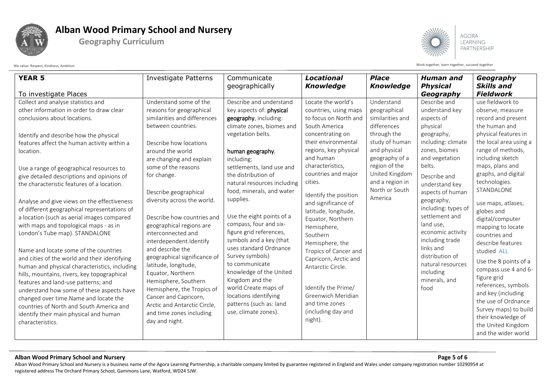

**Geography Curriculum**



LEARNING PARTNERSHIP

We value: Respect, Kindness, Ambition with the succeed together acceed together acceed together acceed together

#### **Alban Wood Primary School and Nursery Page 5 of 6**